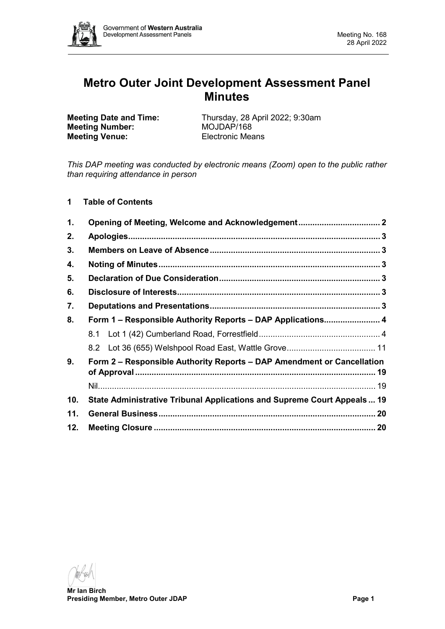

# **Metro Outer Joint Development Assessment Panel Minutes**

**Meeting Number: Meeting Venue:** Electronic Means

**Meeting Date and Time:** Thursday, 28 April 2022; 9:30am<br>**Meeting Number:** MOJDAP/168

*This DAP meeting was conducted by electronic means (Zoom) open to the public rather than requiring attendance in person*

**1 Table of Contents**

| 1.  |                                                                         |  |
|-----|-------------------------------------------------------------------------|--|
| 2.  |                                                                         |  |
| 3.  |                                                                         |  |
| 4.  |                                                                         |  |
| 5.  |                                                                         |  |
| 6.  |                                                                         |  |
| 7.  |                                                                         |  |
| 8.  | Form 1 - Responsible Authority Reports - DAP Applications 4             |  |
|     |                                                                         |  |
|     |                                                                         |  |
| 9.  | Form 2 – Responsible Authority Reports – DAP Amendment or Cancellation  |  |
|     |                                                                         |  |
| 10. | State Administrative Tribunal Applications and Supreme Court Appeals 19 |  |
| 11. |                                                                         |  |
| 12. |                                                                         |  |

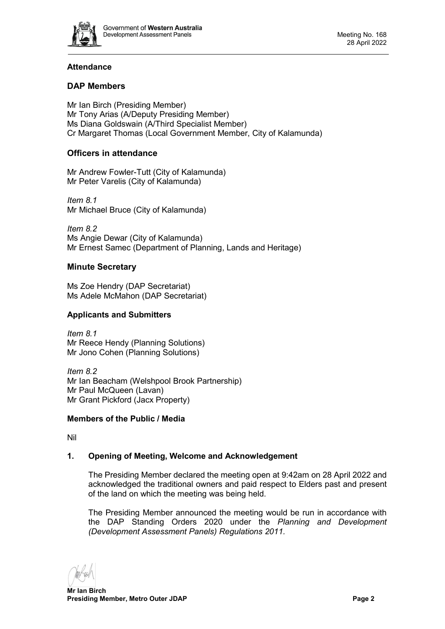

# **Attendance**

# **DAP Members**

Mr Ian Birch (Presiding Member) Mr Tony Arias (A/Deputy Presiding Member) Ms Diana Goldswain (A/Third Specialist Member) Cr Margaret Thomas (Local Government Member, City of Kalamunda)

# **Officers in attendance**

Mr Andrew Fowler-Tutt (City of Kalamunda) Mr Peter Varelis (City of Kalamunda)

*Item 8.1* Mr Michael Bruce (City of Kalamunda)

*Item 8.2* Ms Angie Dewar (City of Kalamunda) Mr Ernest Samec (Department of Planning, Lands and Heritage)

# **Minute Secretary**

Ms Zoe Hendry (DAP Secretariat) Ms Adele McMahon (DAP Secretariat)

# **Applicants and Submitters**

*Item 8.1* Mr Reece Hendy (Planning Solutions) Mr Jono Cohen (Planning Solutions)

*Item 8.2* Mr Ian Beacham (Welshpool Brook Partnership) Mr Paul McQueen (Lavan) Mr Grant Pickford (Jacx Property)

# **Members of the Public / Media**

<span id="page-1-0"></span>Nil

# **1. Opening of Meeting, Welcome and Acknowledgement**

The Presiding Member declared the meeting open at 9:42am on 28 April 2022 and acknowledged the traditional owners and paid respect to Elders past and present of the land on which the meeting was being held.

The Presiding Member announced the meeting would be run in accordance with the DAP Standing Orders 2020 under the *Planning and Development (Development Assessment Panels) Regulations 2011.*

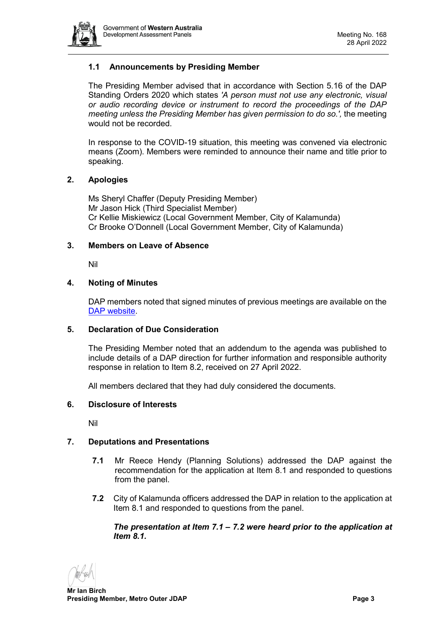

# **1.1 Announcements by Presiding Member**

The Presiding Member advised that in accordance with Section 5.16 of the DAP Standing Orders 2020 which states *'A person must not use any electronic, visual or audio recording device or instrument to record the proceedings of the DAP meeting unless the Presiding Member has given permission to do so.',* the meeting would not be recorded.

In response to the COVID-19 situation, this meeting was convened via electronic means (Zoom). Members were reminded to announce their name and title prior to speaking.

### <span id="page-2-0"></span>**2. Apologies**

Ms Sheryl Chaffer (Deputy Presiding Member) Mr Jason Hick (Third Specialist Member) Cr Kellie Miskiewicz (Local Government Member, City of Kalamunda) Cr Brooke O'Donnell (Local Government Member, City of Kalamunda)

### <span id="page-2-1"></span>**3. Members on Leave of Absence**

Nil

# <span id="page-2-2"></span>**4. Noting of Minutes**

DAP members noted that signed minutes of previous meetings are available on the [DAP website.](https://www.dplh.wa.gov.au/about/development-assessment-panels/daps-agendas-and-minutes)

#### <span id="page-2-3"></span>**5. Declaration of Due Consideration**

The Presiding Member noted that an addendum to the agenda was published to include details of a DAP direction for further information and responsible authority response in relation to Item 8.2, received on 27 April 2022.

All members declared that they had duly considered the documents.

#### <span id="page-2-4"></span>**6. Disclosure of Interests**

Nil

# <span id="page-2-5"></span>**7. Deputations and Presentations**

- **7.1** Mr Reece Hendy (Planning Solutions) addressed the DAP against the recommendation for the application at Item 8.1 and responded to questions from the panel.
- **7.2** City of Kalamunda officers addressed the DAP in relation to the application at Item 8.1 and responded to questions from the panel.

### *The presentation at Item 7.1 – 7.2 were heard prior to the application at Item 8.1.*

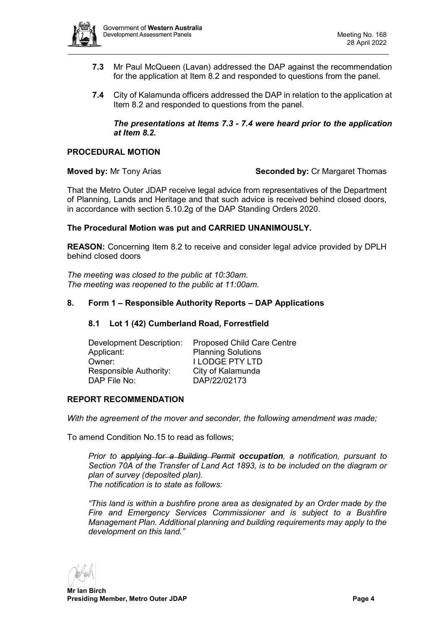

- **7.3** Mr Paul McQueen (Lavan) addressed the DAP against the recommendation for the application at Item 8.2 and responded to questions from the panel.
- **7.4** City of Kalamunda officers addressed the DAP in relation to the application at Item 8.2 and responded to questions from the panel.

### *The presentations at Items 7.3 - 7.4 were heard prior to the application at Item 8.2.*

# **PROCEDURAL MOTION**

**Moved by:** Mr Tony Arias **Seconded by:** Cr Margaret Thomas

That the Metro Outer JDAP receive legal advice from representatives of the Department of Planning, Lands and Heritage and that such advice is received behind closed doors, in accordance with section 5.10.2g of the DAP Standing Orders 2020.

### **The Procedural Motion was put and CARRIED UNANIMOUSLY.**

**REASON:** Concerning Item 8.2 to receive and consider legal advice provided by DPLH behind closed doors

*The meeting was closed to the public at 10:30am. The meeting was reopened to the public at 11:00am.*

### <span id="page-3-1"></span><span id="page-3-0"></span>**8. Form 1 – Responsible Authority Reports – DAP Applications**

#### **8.1 Lot 1 (42) Cumberland Road, Forrestfield**

| Development Description: | <b>Proposed Child Care Centre</b> |
|--------------------------|-----------------------------------|
| Applicant:               | <b>Planning Solutions</b>         |
| Owner:                   | <b>I LODGE PTY LTD</b>            |
| Responsible Authority:   | City of Kalamunda                 |
| DAP File No:             | DAP/22/02173                      |
|                          |                                   |

#### **REPORT RECOMMENDATION**

*With the agreement of the mover and seconder, the following amendment was made;*

To amend Condition No.15 to read as follows;

*Prior to applying for a Building Permit occupation, a notification, pursuant to Section 70A of the Transfer of Land Act 1893, is to be included on the diagram or plan of survey (deposited plan). The notification is to state as follows:*

*"This land is within a bushfire prone area as designated by an Order made by the Fire and Emergency Services Commissioner and is subject to a Bushfire Management Plan. Additional planning and building requirements may apply to the development on this land."*

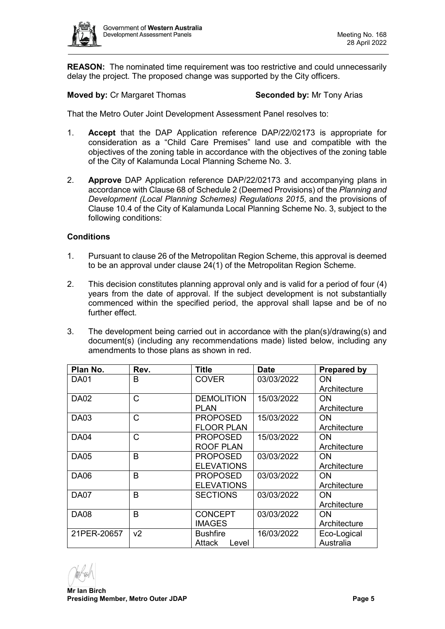

**REASON:** The nominated time requirement was too restrictive and could unnecessarily delay the project. The proposed change was supported by the City officers.

**Moved by: Cr Margaret Thomas <b>Seconded by:** Mr Tony Arias

That the Metro Outer Joint Development Assessment Panel resolves to:

- 1. **Accept** that the DAP Application reference DAP/22/02173 is appropriate for consideration as a "Child Care Premises" land use and compatible with the objectives of the zoning table in accordance with the objectives of the zoning table of the City of Kalamunda Local Planning Scheme No. 3.
- 2. **Approve** DAP Application reference DAP/22/02173 and accompanying plans in accordance with Clause 68 of Schedule 2 (Deemed Provisions) of the *Planning and Development (Local Planning Schemes) Regulations 2015*, and the provisions of Clause 10.4 of the City of Kalamunda Local Planning Scheme No. 3, subject to the following conditions:

### **Conditions**

- 1. Pursuant to clause 26 of the Metropolitan Region Scheme, this approval is deemed to be an approval under clause 24(1) of the Metropolitan Region Scheme.
- 2. This decision constitutes planning approval only and is valid for a period of four (4) years from the date of approval. If the subject development is not substantially commenced within the specified period, the approval shall lapse and be of no further effect.
- 3. The development being carried out in accordance with the plan(s)/drawing(s) and document(s) (including any recommendations made) listed below, including any amendments to those plans as shown in red.

| Plan No.    | Rev.           | <b>Title</b>      | <b>Date</b> | <b>Prepared by</b> |
|-------------|----------------|-------------------|-------------|--------------------|
| DA01        | B              | <b>COVER</b>      | 03/03/2022  | ON                 |
|             |                |                   |             | Architecture       |
| <b>DA02</b> | C              | <b>DEMOLITION</b> | 15/03/2022  | ON                 |
|             |                | <b>PLAN</b>       |             | Architecture       |
| <b>DA03</b> | Ć              | <b>PROPOSED</b>   | 15/03/2022  | ΟN                 |
|             |                | <b>FLOOR PLAN</b> |             | Architecture       |
| <b>DA04</b> | Ć              | <b>PROPOSED</b>   | 15/03/2022  | 0N                 |
|             |                | <b>ROOF PLAN</b>  |             | Architecture       |
| <b>DA05</b> | B              | <b>PROPOSED</b>   | 03/03/2022  | 0N                 |
|             |                | <b>ELEVATIONS</b> |             | Architecture       |
| <b>DA06</b> | B              | <b>PROPOSED</b>   | 03/03/2022  | 0N                 |
|             |                | <b>ELEVATIONS</b> |             | Architecture       |
| <b>DA07</b> | B              | <b>SECTIONS</b>   | 03/03/2022  | ΟN                 |
|             |                |                   |             | Architecture       |
| <b>DA08</b> | B              | <b>CONCEPT</b>    | 03/03/2022  | ON                 |
|             |                | <b>IMAGES</b>     |             | Architecture       |
| 21PER-20657 | v <sub>2</sub> | <b>Bushfire</b>   | 16/03/2022  | Eco-Logical        |
|             |                | Attack<br>Level   |             | Australia          |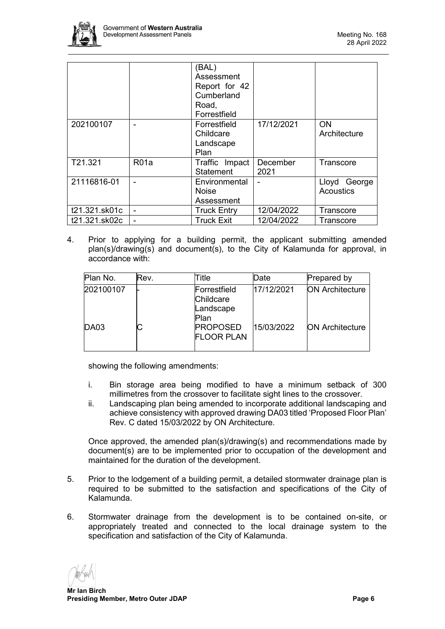

|               |                   | (BAL)<br>Assessment<br>Report for 42<br>Cumberland<br>Road,<br>Forrestfield |                  |                                  |
|---------------|-------------------|-----------------------------------------------------------------------------|------------------|----------------------------------|
| 202100107     |                   | Forrestfield<br>Childcare<br>Landscape<br>Plan                              | 17/12/2021       | <b>ON</b><br>Architecture        |
| T21.321       | R <sub>01</sub> a | Traffic Impact<br><b>Statement</b>                                          | December<br>2021 | Transcore                        |
| 21116816-01   |                   | Environmental<br><b>Noise</b><br>Assessment                                 |                  | Lloyd George<br><b>Acoustics</b> |
| t21.321.sk01c | ۰                 | <b>Truck Entry</b>                                                          | 12/04/2022       | Transcore                        |
| t21.321.sk02c | ۰                 | <b>Truck Exit</b>                                                           | 12/04/2022       | Transcore                        |

4. Prior to applying for a building permit, the applicant submitting amended plan(s)/drawing(s) and document(s), to the City of Kalamunda for approval, in accordance with:

| Plan No.    | Rev. | Title                                          | Date       | Prepared by            |
|-------------|------|------------------------------------------------|------------|------------------------|
| 202100107   |      | Forrestfield<br>Childcare<br>Landscape<br>Plan | 17/12/2021 | <b>ON Architecture</b> |
| <b>DA03</b> |      | <b>PROPOSED</b><br><b>FLOOR PLAN</b>           | 15/03/2022 | <b>ON Architecture</b> |

showing the following amendments:

- i. Bin storage area being modified to have a minimum setback of 300 millimetres from the crossover to facilitate sight lines to the crossover.
- ii. Landscaping plan being amended to incorporate additional landscaping and achieve consistency with approved drawing DA03 titled 'Proposed Floor Plan' Rev. C dated 15/03/2022 by ON Architecture.

Once approved, the amended plan(s)/drawing(s) and recommendations made by document(s) are to be implemented prior to occupation of the development and maintained for the duration of the development.

- 5. Prior to the lodgement of a building permit, a detailed stormwater drainage plan is required to be submitted to the satisfaction and specifications of the City of Kalamunda.
- 6. Stormwater drainage from the development is to be contained on-site, or appropriately treated and connected to the local drainage system to the specification and satisfaction of the City of Kalamunda.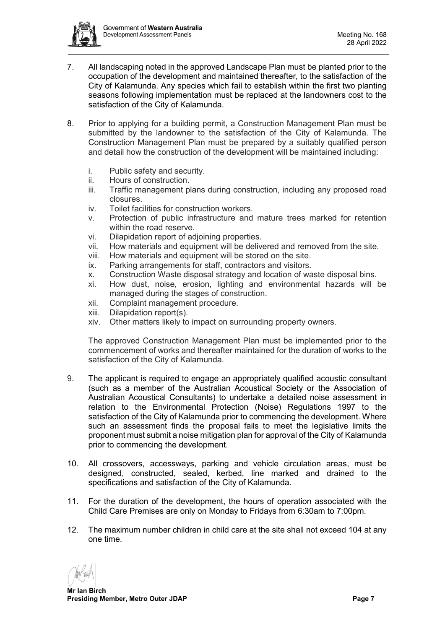

- 7. All landscaping noted in the approved Landscape Plan must be planted prior to the occupation of the development and maintained thereafter, to the satisfaction of the City of Kalamunda. Any species which fail to establish within the first two planting seasons following implementation must be replaced at the landowners cost to the satisfaction of the City of Kalamunda.
- 8. Prior to applying for a building permit, a Construction Management Plan must be submitted by the landowner to the satisfaction of the City of Kalamunda. The Construction Management Plan must be prepared by a suitably qualified person and detail how the construction of the development will be maintained including:
	- i. Public safety and security.
	- ii. Hours of construction.
	- iii. Traffic management plans during construction, including any proposed road closures.
	- iv. Toilet facilities for construction workers.
	- v. Protection of public infrastructure and mature trees marked for retention within the road reserve.
	- vi. Dilapidation report of adjoining properties.
	- vii. How materials and equipment will be delivered and removed from the site.
	- viii. How materials and equipment will be stored on the site.
	- ix. Parking arrangements for staff, contractors and visitors.
	- x. Construction Waste disposal strategy and location of waste disposal bins.
	- xi. How dust, noise, erosion, lighting and environmental hazards will be managed during the stages of construction.
	- xii. Complaint management procedure.
	- xiii. Dilapidation report(s).
	- xiv. Other matters likely to impact on surrounding property owners.

The approved Construction Management Plan must be implemented prior to the commencement of works and thereafter maintained for the duration of works to the satisfaction of the City of Kalamunda.

- 9. The applicant is required to engage an appropriately qualified acoustic consultant (such as a member of the Australian Acoustical Society or the Association of Australian Acoustical Consultants) to undertake a detailed noise assessment in relation to the Environmental Protection (Noise) Regulations 1997 to the satisfaction of the City of Kalamunda prior to commencing the development. Where such an assessment finds the proposal fails to meet the legislative limits the proponent must submit a noise mitigation plan for approval of the City of Kalamunda prior to commencing the development.
- 10. All crossovers, accessways, parking and vehicle circulation areas, must be designed, constructed, sealed, kerbed, line marked and drained to the specifications and satisfaction of the City of Kalamunda.
- 11. For the duration of the development, the hours of operation associated with the Child Care Premises are only on Monday to Fridays from 6:30am to 7:00pm.
- 12. The maximum number children in child care at the site shall not exceed 104 at any one time.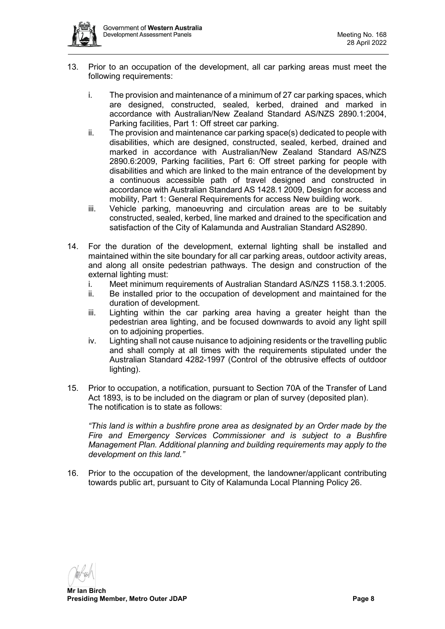

- 13. Prior to an occupation of the development, all car parking areas must meet the following requirements:
	- i. The provision and maintenance of a minimum of 27 car parking spaces, which are designed, constructed, sealed, kerbed, drained and marked in accordance with Australian/New Zealand Standard AS/NZS 2890.1:2004, Parking facilities, Part 1: Off street car parking.
	- ii. The provision and maintenance car parking space(s) dedicated to people with disabilities, which are designed, constructed, sealed, kerbed, drained and marked in accordance with Australian/New Zealand Standard AS/NZS 2890.6:2009, Parking facilities, Part 6: Off street parking for people with disabilities and which are linked to the main entrance of the development by a continuous accessible path of travel designed and constructed in accordance with Australian Standard AS 1428.1 2009, Design for access and mobility, Part 1: General Requirements for access New building work.
	- iii. Vehicle parking, manoeuvring and circulation areas are to be suitably constructed, sealed, kerbed, line marked and drained to the specification and satisfaction of the City of Kalamunda and Australian Standard AS2890.
- 14. For the duration of the development, external lighting shall be installed and maintained within the site boundary for all car parking areas, outdoor activity areas, and along all onsite pedestrian pathways. The design and construction of the external lighting must:
	- i. Meet minimum requirements of Australian Standard AS/NZS 1158.3.1:2005.
	- ii. Be installed prior to the occupation of development and maintained for the duration of development.
	- iii. Lighting within the car parking area having a greater height than the pedestrian area lighting, and be focused downwards to avoid any light spill on to adjoining properties.
	- iv. Lighting shall not cause nuisance to adjoining residents or the travelling public and shall comply at all times with the requirements stipulated under the Australian Standard 4282-1997 (Control of the obtrusive effects of outdoor lighting).
- 15. Prior to occupation, a notification, pursuant to Section 70A of the Transfer of Land Act 1893, is to be included on the diagram or plan of survey (deposited plan). The notification is to state as follows:

*"This land is within a bushfire prone area as designated by an Order made by the Fire and Emergency Services Commissioner and is subject to a Bushfire Management Plan. Additional planning and building requirements may apply to the development on this land."*

16. Prior to the occupation of the development, the landowner/applicant contributing towards public art, pursuant to City of Kalamunda Local Planning Policy 26.

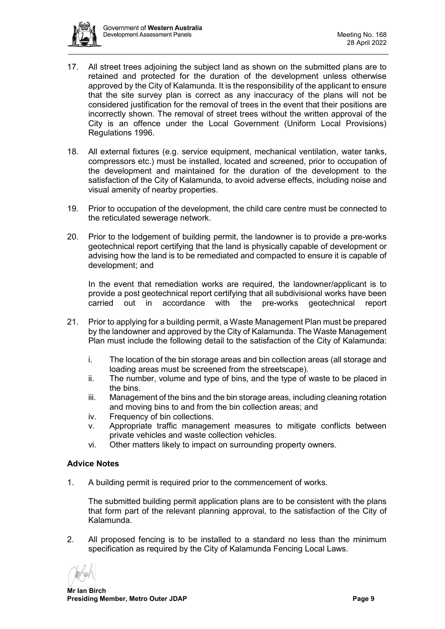

- 17. All street trees adjoining the subject land as shown on the submitted plans are to retained and protected for the duration of the development unless otherwise approved by the City of Kalamunda. It is the responsibility of the applicant to ensure that the site survey plan is correct as any inaccuracy of the plans will not be considered justification for the removal of trees in the event that their positions are incorrectly shown. The removal of street trees without the written approval of the City is an offence under the Local Government (Uniform Local Provisions) Regulations 1996.
- 18. All external fixtures (e.g. service equipment, mechanical ventilation, water tanks, compressors etc.) must be installed, located and screened, prior to occupation of the development and maintained for the duration of the development to the satisfaction of the City of Kalamunda, to avoid adverse effects, including noise and visual amenity of nearby properties.
- 19. Prior to occupation of the development, the child care centre must be connected to the reticulated sewerage network.
- 20. Prior to the lodgement of building permit, the landowner is to provide a pre-works geotechnical report certifying that the land is physically capable of development or advising how the land is to be remediated and compacted to ensure it is capable of development; and

In the event that remediation works are required, the landowner/applicant is to provide a post geotechnical report certifying that all subdivisional works have been carried out in accordance with the pre-works geotechnical report

- 21. Prior to applying for a building permit, a Waste Management Plan must be prepared by the landowner and approved by the City of Kalamunda. The Waste Management Plan must include the following detail to the satisfaction of the City of Kalamunda:
	- i. The location of the bin storage areas and bin collection areas (all storage and loading areas must be screened from the streetscape).
	- ii. The number, volume and type of bins, and the type of waste to be placed in the bins.
	- iii. Management of the bins and the bin storage areas, including cleaning rotation and moving bins to and from the bin collection areas; and
	- iv. Frequency of bin collections.
	- v. Appropriate traffic management measures to mitigate conflicts between private vehicles and waste collection vehicles.
	- vi. Other matters likely to impact on surrounding property owners.

# **Advice Notes**

1. A building permit is required prior to the commencement of works.

The submitted building permit application plans are to be consistent with the plans that form part of the relevant planning approval, to the satisfaction of the City of Kalamunda.

2. All proposed fencing is to be installed to a standard no less than the minimum specification as required by the City of Kalamunda Fencing Local Laws.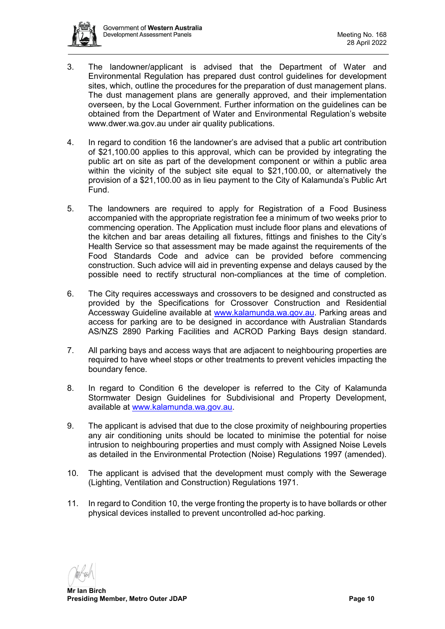

- 3. The landowner/applicant is advised that the Department of Water and Environmental Regulation has prepared dust control guidelines for development sites, which, outline the procedures for the preparation of dust management plans. The dust management plans are generally approved, and their implementation overseen, by the Local Government. Further information on the guidelines can be obtained from the Department of Water and Environmental Regulation's website www.dwer.wa.gov.au under air quality publications.
- 4. In regard to condition 16 the landowner's are advised that a public art contribution of \$21,100.00 applies to this approval, which can be provided by integrating the public art on site as part of the development component or within a public area within the vicinity of the subject site equal to \$21,100.00, or alternatively the provision of a \$21,100.00 as in lieu payment to the City of Kalamunda's Public Art Fund.
- 5. The landowners are required to apply for Registration of a Food Business accompanied with the appropriate registration fee a minimum of two weeks prior to commencing operation. The Application must include floor plans and elevations of the kitchen and bar areas detailing all fixtures, fittings and finishes to the City's Health Service so that assessment may be made against the requirements of the Food Standards Code and advice can be provided before commencing construction. Such advice will aid in preventing expense and delays caused by the possible need to rectify structural non-compliances at the time of completion.
- 6. The City requires accessways and crossovers to be designed and constructed as provided by the Specifications for Crossover Construction and Residential Accessway Guideline available at [www.kalamunda.wa.gov.au.](http://www.kalamunda.wa.gov.au/) Parking areas and access for parking are to be designed in accordance with Australian Standards AS/NZS 2890 Parking Facilities and ACROD Parking Bays design standard.
- 7. All parking bays and access ways that are adjacent to neighbouring properties are required to have wheel stops or other treatments to prevent vehicles impacting the boundary fence.
- 8. In regard to Condition 6 the developer is referred to the City of Kalamunda Stormwater Design Guidelines for Subdivisional and Property Development, available at [www.kalamunda.wa.gov.au.](http://www.kalamunda.wa.gov.au/)
- 9. The applicant is advised that due to the close proximity of neighbouring properties any air conditioning units should be located to minimise the potential for noise intrusion to neighbouring properties and must comply with Assigned Noise Levels as detailed in the Environmental Protection (Noise) Regulations 1997 (amended).
- 10. The applicant is advised that the development must comply with the Sewerage (Lighting, Ventilation and Construction) Regulations 1971.
- 11. In regard to Condition 10, the verge fronting the property is to have bollards or other physical devices installed to prevent uncontrolled ad-hoc parking.

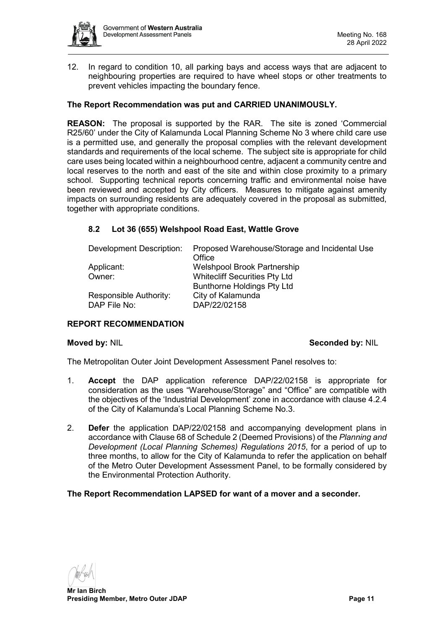

12. In regard to condition 10, all parking bays and access ways that are adjacent to neighbouring properties are required to have wheel stops or other treatments to prevent vehicles impacting the boundary fence.

# **The Report Recommendation was put and CARRIED UNANIMOUSLY.**

**REASON:** The proposal is supported by the RAR. The site is zoned 'Commercial R25/60' under the City of Kalamunda Local Planning Scheme No 3 where child care use is a permitted use, and generally the proposal complies with the relevant development standards and requirements of the local scheme. The subject site is appropriate for child care uses being located within a neighbourhood centre, adjacent a community centre and local reserves to the north and east of the site and within close proximity to a primary school. Supporting technical reports concerning traffic and environmental noise have been reviewed and accepted by City officers. Measures to mitigate against amenity impacts on surrounding residents are adequately covered in the proposal as submitted, together with appropriate conditions.

# <span id="page-10-0"></span>**8.2 Lot 36 (655) Welshpool Road East, Wattle Grove**

| Development Description: | Proposed Warehouse/Storage and Incidental Use<br>Office |
|--------------------------|---------------------------------------------------------|
| Applicant:               | <b>Welshpool Brook Partnership</b>                      |
|                          |                                                         |
| Owner:                   | <b>Whitecliff Securities Pty Ltd</b>                    |
|                          | <b>Bunthorne Holdings Pty Ltd</b>                       |
| Responsible Authority:   | City of Kalamunda                                       |
| DAP File No:             | DAP/22/02158                                            |

# **REPORT RECOMMENDATION**

#### **Moved by: NIL Seconded by: NIL**

The Metropolitan Outer Joint Development Assessment Panel resolves to:

- 1. **Accept** the DAP application reference DAP/22/02158 is appropriate for consideration as the uses "Warehouse/Storage" and "Office" are compatible with the objectives of the 'Industrial Development' zone in accordance with clause 4.2.4 of the City of Kalamunda's Local Planning Scheme No.3.
- 2. **Defer** the application DAP/22/02158 and accompanying development plans in accordance with Clause 68 of Schedule 2 (Deemed Provisions) of the *Planning and Development (Local Planning Schemes) Regulations 2015*, for a period of up to three months, to allow for the City of Kalamunda to refer the application on behalf of the Metro Outer Development Assessment Panel, to be formally considered by the Environmental Protection Authority.

# **The Report Recommendation LAPSED for want of a mover and a seconder.**

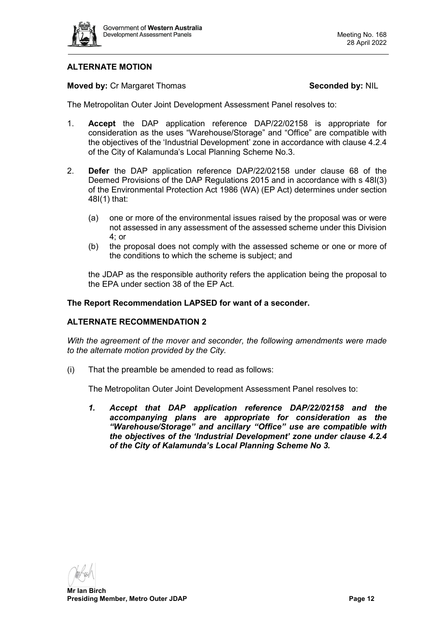

# **ALTERNATE MOTION**

### **Moved by: Cr Margaret Thomas <b>Seconded by: NIL**

The Metropolitan Outer Joint Development Assessment Panel resolves to:

- 1. **Accept** the DAP application reference DAP/22/02158 is appropriate for consideration as the uses "Warehouse/Storage" and "Office" are compatible with the objectives of the 'Industrial Development' zone in accordance with clause 4.2.4 of the City of Kalamunda's Local Planning Scheme No.3.
- 2. **Defer** the DAP application reference DAP/22/02158 under clause 68 of the Deemed Provisions of the DAP Regulations 2015 and in accordance with s 48I(3) of the Environmental Protection Act 1986 (WA) (EP Act) determines under section 48I(1) that:
	- (a) one or more of the environmental issues raised by the proposal was or were not assessed in any assessment of the assessed scheme under this Division 4; or
	- (b) the proposal does not comply with the assessed scheme or one or more of the conditions to which the scheme is subject; and

the JDAP as the responsible authority refers the application being the proposal to the EPA under section 38 of the EP Act.

**The Report Recommendation LAPSED for want of a seconder.**

#### **ALTERNATE RECOMMENDATION 2**

*With the agreement of the mover and seconder, the following amendments were made to the alternate motion provided by the City.*

(i) That the preamble be amended to read as follows:

The Metropolitan Outer Joint Development Assessment Panel resolves to:

*1. Accept that DAP application reference DAP/22/02158 and the accompanying plans are appropriate for consideration as the "Warehouse/Storage" and ancillary "Office" use are compatible with the objectives of the 'Industrial Development' zone under clause 4.2.4 of the City of Kalamunda's Local Planning Scheme No 3.*

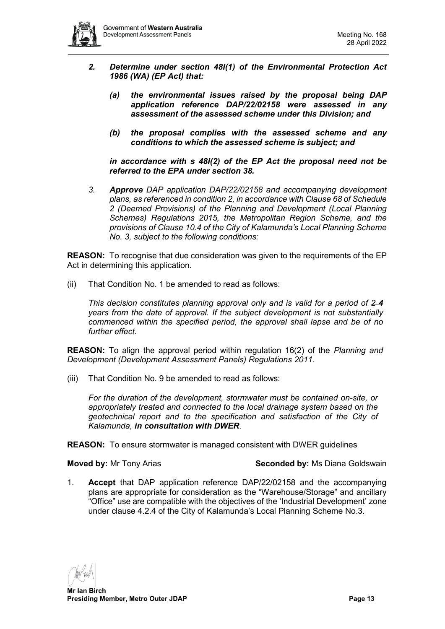

- *2. Determine under section 48I(1) of the Environmental Protection Act 1986 (WA) (EP Act) that:*
	- *(a) the environmental issues raised by the proposal being DAP application reference DAP/22/02158 were assessed in any assessment of the assessed scheme under this Division; and*
	- *(b) the proposal complies with the assessed scheme and any conditions to which the assessed scheme is subject; and*

*in accordance with s 48I(2) of the EP Act the proposal need not be referred to the EPA under section 38.*

*3. Approve DAP application DAP/22/02158 and accompanying development plans, as referenced in condition 2, in accordance with Clause 68 of Schedule 2 (Deemed Provisions) of the Planning and Development (Local Planning Schemes) Regulations 2015, the Metropolitan Region Scheme, and the provisions of Clause 10.4 of the City of Kalamunda's Local Planning Scheme No. 3, subject to the following conditions:* 

**REASON:** To recognise that due consideration was given to the requirements of the EP Act in determining this application.

(ii) That Condition No. 1 be amended to read as follows:

*This decision constitutes planning approval only and is valid for a period of 2 4 years from the date of approval. If the subject development is not substantially commenced within the specified period, the approval shall lapse and be of no further effect.* 

**REASON:** To align the approval period within regulation 16(2) of the *Planning and Development (Development Assessment Panels) Regulations 2011.*

(iii) That Condition No. 9 be amended to read as follows:

*For the duration of the development, stormwater must be contained on-site, or appropriately treated and connected to the local drainage system based on the geotechnical report and to the specification and satisfaction of the City of Kalamunda, in consultation with DWER*.

**REASON:** To ensure stormwater is managed consistent with DWER guidelines

**Moved by:** Mr Tony Arias **Seconded by:** Ms Diana Goldswain

1. **Accept** that DAP application reference DAP/22/02158 and the accompanying plans are appropriate for consideration as the "Warehouse/Storage" and ancillary "Office" use are compatible with the objectives of the 'Industrial Development' zone under clause 4.2.4 of the City of Kalamunda's Local Planning Scheme No.3.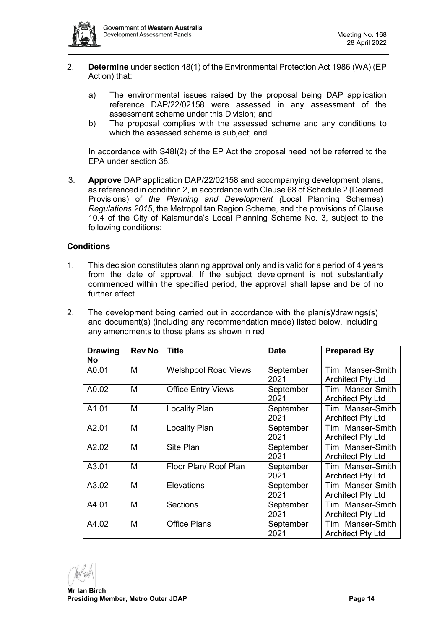

- 2. **Determine** under section 48(1) of the Environmental Protection Act 1986 (WA) (EP Action) that:
	- a) The environmental issues raised by the proposal being DAP application reference DAP/22/02158 were assessed in any assessment of the assessment scheme under this Division; and
	- b) The proposal complies with the assessed scheme and any conditions to which the assessed scheme is subject; and

In accordance with S48I(2) of the EP Act the proposal need not be referred to the EPA under section 38.

3. **Approve** DAP application DAP/22/02158 and accompanying development plans, as referenced in condition 2, in accordance with Clause 68 of Schedule 2 (Deemed Provisions) of *the Planning and Development (*Local Planning Schemes) *Regulations 2015*, the Metropolitan Region Scheme, and the provisions of Clause 10.4 of the City of Kalamunda's Local Planning Scheme No. 3, subject to the following conditions:

# **Conditions**

- 1. This decision constitutes planning approval only and is valid for a period of 4 years from the date of approval. If the subject development is not substantially commenced within the specified period, the approval shall lapse and be of no further effect.
- 2. The development being carried out in accordance with the plan(s)/drawings(s) and document(s) (including any recommendation made) listed below, including any amendments to those plans as shown in red

| <b>Drawing</b><br><b>No</b> | <b>Rev No</b> | <b>Title</b>                | <b>Date</b> | <b>Prepared By</b>       |
|-----------------------------|---------------|-----------------------------|-------------|--------------------------|
| A0.01                       | M             | <b>Welshpool Road Views</b> | September   | Tim Manser-Smith         |
|                             |               |                             | 2021        | <b>Architect Pty Ltd</b> |
| A0.02                       | M             | <b>Office Entry Views</b>   | September   | Tim Manser-Smith         |
|                             |               |                             | 2021        | <b>Architect Pty Ltd</b> |
| A1.01                       | M             | <b>Locality Plan</b>        | September   | Tim Manser-Smith         |
|                             |               |                             | 2021        | <b>Architect Pty Ltd</b> |
| A2.01                       | M             | <b>Locality Plan</b>        | September   | Tim Manser-Smith         |
|                             |               |                             | 2021        | <b>Architect Pty Ltd</b> |
| A2.02                       | M             | Site Plan                   | September   | Tim Manser-Smith         |
|                             |               |                             | 2021        | <b>Architect Pty Ltd</b> |
| A3.01                       | M             | Floor Plan/ Roof Plan       | September   | Tim Manser-Smith         |
|                             |               |                             | 2021        | <b>Architect Pty Ltd</b> |
| A3.02                       | М             | Elevations                  | September   | Tim Manser-Smith         |
|                             |               |                             | 2021        | <b>Architect Pty Ltd</b> |
| A4.01                       | M             | <b>Sections</b>             | September   | Tim Manser-Smith         |
|                             |               |                             | 2021        | <b>Architect Pty Ltd</b> |
| A4.02                       | M             | <b>Office Plans</b>         | September   | Tim Manser-Smith         |
|                             |               |                             | 2021        | <b>Architect Pty Ltd</b> |

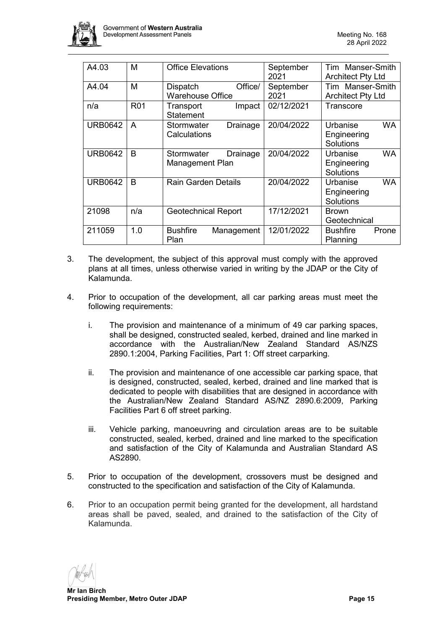

| A4.03          | М            | <b>Office Elevations</b>      | September  | Tim Manser-Smith         |
|----------------|--------------|-------------------------------|------------|--------------------------|
|                |              |                               | 2021       | <b>Architect Pty Ltd</b> |
| A4.04          | М            | Office/<br><b>Dispatch</b>    | September  | Tim Manser-Smith         |
|                |              | <b>Warehouse Office</b>       | 2021       | <b>Architect Pty Ltd</b> |
| n/a            | <b>R01</b>   | Transport<br>Impact           | 02/12/2021 | Transcore                |
|                |              | <b>Statement</b>              |            |                          |
| <b>URB0642</b> | A            | Stormwater<br>Drainage        | 20/04/2022 | <b>WA</b><br>Urbanise    |
|                |              | Calculations                  |            | Engineering              |
|                |              |                               |            | Solutions                |
| <b>URB0642</b> | <sub>B</sub> | Stormwater<br>Drainage        | 20/04/2022 | <b>WA</b><br>Urbanise    |
|                |              | Management Plan               |            | Engineering              |
|                |              |                               |            | Solutions                |
| <b>URB0642</b> | <sub>B</sub> | <b>Rain Garden Details</b>    | 20/04/2022 | <b>WA</b><br>Urbanise    |
|                |              |                               |            | Engineering              |
|                |              |                               |            | Solutions                |
| 21098          | n/a          | <b>Geotechnical Report</b>    | 17/12/2021 | <b>Brown</b>             |
|                |              |                               |            | Geotechnical             |
| 211059         | 1.0          | <b>Bushfire</b><br>Management | 12/01/2022 | <b>Bushfire</b><br>Prone |
|                |              | Plan                          |            | Planning                 |

- 3. The development, the subject of this approval must comply with the approved plans at all times, unless otherwise varied in writing by the JDAP or the City of Kalamunda.
- 4. Prior to occupation of the development, all car parking areas must meet the following requirements:
	- i. The provision and maintenance of a minimum of 49 car parking spaces, shall be designed, constructed sealed, kerbed, drained and line marked in accordance with the Australian/New Zealand Standard AS/NZS 2890.1:2004, Parking Facilities, Part 1: Off street carparking.
	- ii. The provision and maintenance of one accessible car parking space, that is designed, constructed, sealed, kerbed, drained and line marked that is dedicated to people with disabilities that are designed in accordance with the Australian/New Zealand Standard AS/NZ 2890.6:2009, Parking Facilities Part 6 off street parking.
	- iii. Vehicle parking, manoeuvring and circulation areas are to be suitable constructed, sealed, kerbed, drained and line marked to the specification and satisfaction of the City of Kalamunda and Australian Standard AS AS2890.
- 5. Prior to occupation of the development, crossovers must be designed and constructed to the specification and satisfaction of the City of Kalamunda.
- 6. Prior to an occupation permit being granted for the development, all hardstand areas shall be paved, sealed, and drained to the satisfaction of the City of Kalamunda.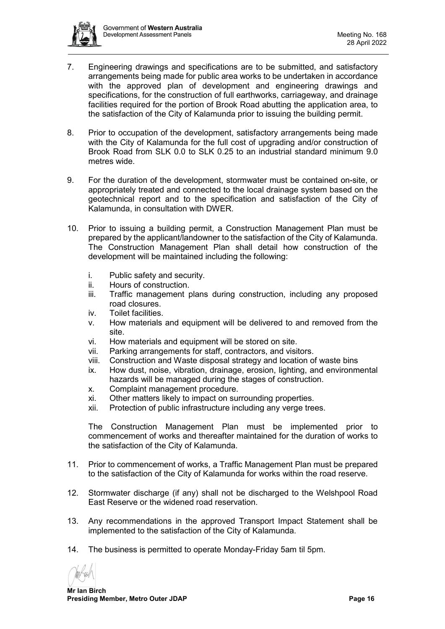

- 7. Engineering drawings and specifications are to be submitted, and satisfactory arrangements being made for public area works to be undertaken in accordance with the approved plan of development and engineering drawings and specifications, for the construction of full earthworks, carriageway, and drainage facilities required for the portion of Brook Road abutting the application area, to the satisfaction of the City of Kalamunda prior to issuing the building permit.
- 8. Prior to occupation of the development, satisfactory arrangements being made with the City of Kalamunda for the full cost of upgrading and/or construction of Brook Road from SLK 0.0 to SLK 0.25 to an industrial standard minimum 9.0 metres wide.
- 9. For the duration of the development, stormwater must be contained on-site, or appropriately treated and connected to the local drainage system based on the geotechnical report and to the specification and satisfaction of the City of Kalamunda, in consultation with DWER.
- 10. Prior to issuing a building permit, a Construction Management Plan must be prepared by the applicant/landowner to the satisfaction of the City of Kalamunda. The Construction Management Plan shall detail how construction of the development will be maintained including the following:
	- i. Public safety and security.
	- ii. Hours of construction.
	- iii. Traffic management plans during construction, including any proposed road closures.
	- iv. Toilet facilities.
	- v. How materials and equipment will be delivered to and removed from the site.
	- vi. How materials and equipment will be stored on site.
	- vii. Parking arrangements for staff, contractors, and visitors.
	- viii. Construction and Waste disposal strategy and location of waste bins
	- ix. How dust, noise, vibration, drainage, erosion, lighting, and environmental hazards will be managed during the stages of construction.
	- x. Complaint management procedure.
	- xi. Other matters likely to impact on surrounding properties.
	- xii. Protection of public infrastructure including any verge trees.

The Construction Management Plan must be implemented prior to commencement of works and thereafter maintained for the duration of works to the satisfaction of the City of Kalamunda.

- 11. Prior to commencement of works, a Traffic Management Plan must be prepared to the satisfaction of the City of Kalamunda for works within the road reserve.
- 12. Stormwater discharge (if any) shall not be discharged to the Welshpool Road East Reserve or the widened road reservation.
- 13. Any recommendations in the approved Transport Impact Statement shall be implemented to the satisfaction of the City of Kalamunda.
- 14. The business is permitted to operate Monday-Friday 5am til 5pm.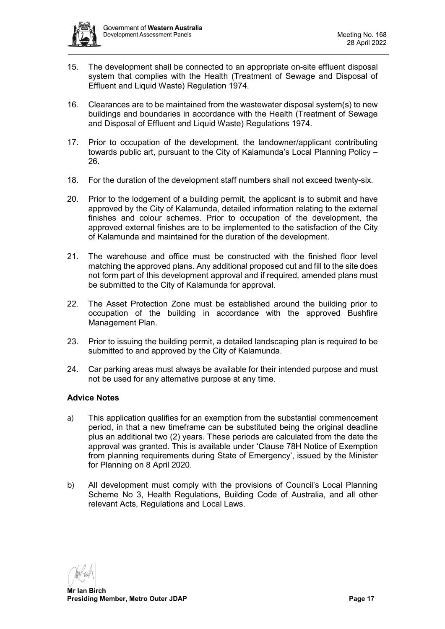

- 15. The development shall be connected to an appropriate on-site effluent disposal system that complies with the Health (Treatment of Sewage and Disposal of Effluent and Liquid Waste) Regulation 1974.
- 16. Clearances are to be maintained from the wastewater disposal system(s) to new buildings and boundaries in accordance with the Health (Treatment of Sewage and Disposal of Effluent and Liquid Waste) Regulations 1974.
- 17. Prior to occupation of the development, the landowner/applicant contributing towards public art, pursuant to the City of Kalamunda's Local Planning Policy – 26.
- 18. For the duration of the development staff numbers shall not exceed twenty-six.
- 20. Prior to the lodgement of a building permit, the applicant is to submit and have approved by the City of Kalamunda, detailed information relating to the external finishes and colour schemes. Prior to occupation of the development, the approved external finishes are to be implemented to the satisfaction of the City of Kalamunda and maintained for the duration of the development.
- 21. The warehouse and office must be constructed with the finished floor level matching the approved plans. Any additional proposed cut and fill to the site does not form part of this development approval and if required, amended plans must be submitted to the City of Kalamunda for approval.
- 22. The Asset Protection Zone must be established around the building prior to occupation of the building in accordance with the approved Bushfire Management Plan.
- 23. Prior to issuing the building permit, a detailed landscaping plan is required to be submitted to and approved by the City of Kalamunda.
- 24. Car parking areas must always be available for their intended purpose and must not be used for any alternative purpose at any time.

# **Advice Notes**

- a) This application qualifies for an exemption from the substantial commencement period, in that a new timeframe can be substituted being the original deadline plus an additional two (2) years. These periods are calculated from the date the approval was granted. This is available under 'Clause 78H Notice of Exemption from planning requirements during State of Emergency', issued by the Minister for Planning on 8 April 2020.
- b) All development must comply with the provisions of Council's Local Planning Scheme No 3, Health Regulations, Building Code of Australia, and all other relevant Acts, Regulations and Local Laws.

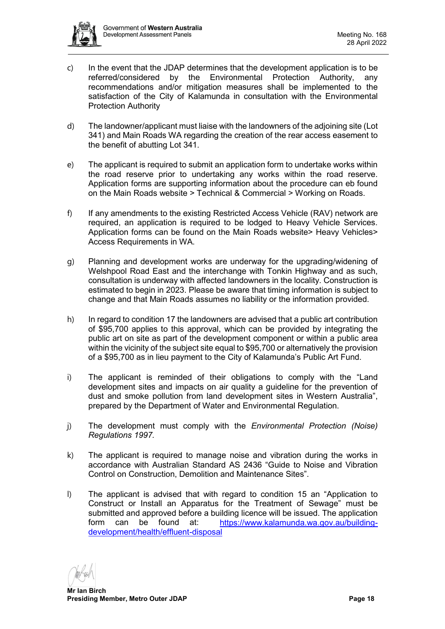

- c) In the event that the JDAP determines that the development application is to be referred/considered by the Environmental Protection Authority, any recommendations and/or mitigation measures shall be implemented to the satisfaction of the City of Kalamunda in consultation with the Environmental Protection Authority
- d) The landowner/applicant must liaise with the landowners of the adjoining site (Lot 341) and Main Roads WA regarding the creation of the rear access easement to the benefit of abutting Lot 341.
- e) The applicant is required to submit an application form to undertake works within the road reserve prior to undertaking any works within the road reserve. Application forms are supporting information about the procedure can eb found on the Main Roads website > Technical & Commercial > Working on Roads.
- f) If any amendments to the existing Restricted Access Vehicle (RAV) network are required, an application is required to be lodged to Heavy Vehicle Services. Application forms can be found on the Main Roads website> Heavy Vehicles> Access Requirements in WA.
- g) Planning and development works are underway for the upgrading/widening of Welshpool Road East and the interchange with Tonkin Highway and as such, consultation is underway with affected landowners in the locality. Construction is estimated to begin in 2023. Please be aware that timing information is subject to change and that Main Roads assumes no liability or the information provided.
- h) In regard to condition 17 the landowners are advised that a public art contribution of \$95,700 applies to this approval, which can be provided by integrating the public art on site as part of the development component or within a public area within the vicinity of the subject site equal to \$95,700 or alternatively the provision of a \$95,700 as in lieu payment to the City of Kalamunda's Public Art Fund.
- i) The applicant is reminded of their obligations to comply with the "Land development sites and impacts on air quality a guideline for the prevention of dust and smoke pollution from land development sites in Western Australia", prepared by the Department of Water and Environmental Regulation.
- j) The development must comply with the *Environmental Protection (Noise) Regulations 1997.*
- k) The applicant is required to manage noise and vibration during the works in accordance with Australian Standard AS 2436 "Guide to Noise and Vibration Control on Construction, Demolition and Maintenance Sites".
- l) The applicant is advised that with regard to condition 15 an "Application to Construct or Install an Apparatus for the Treatment of Sewage" must be submitted and approved before a building licence will be issued. The application form can be found at: [https://www.kalamunda.wa.gov.au/building](https://www.kalamunda.wa.gov.au/building-development/health/effluent-disposal)[development/health/effluent-disposal](https://www.kalamunda.wa.gov.au/building-development/health/effluent-disposal)

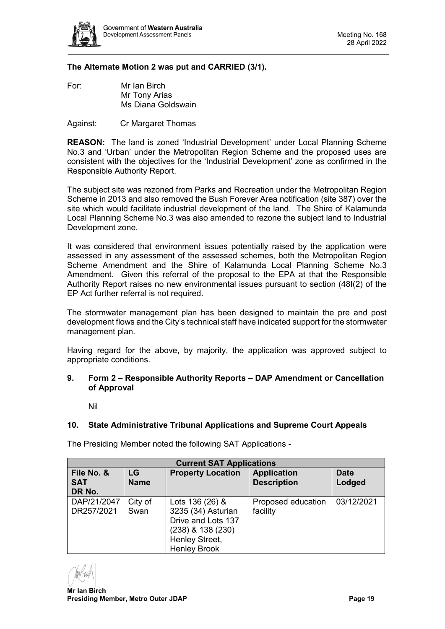

# **The Alternate Motion 2 was put and CARRIED (3/1).**

For: Mr Ian Birch Mr Tony Arias Ms Diana Goldswain

Against: Cr Margaret Thomas

**REASON:** The land is zoned 'Industrial Development' under Local Planning Scheme No.3 and 'Urban' under the Metropolitan Region Scheme and the proposed uses are consistent with the objectives for the 'Industrial Development' zone as confirmed in the Responsible Authority Report.

The subject site was rezoned from Parks and Recreation under the Metropolitan Region Scheme in 2013 and also removed the Bush Forever Area notification (site 387) over the site which would facilitate industrial development of the land. The Shire of Kalamunda Local Planning Scheme No.3 was also amended to rezone the subject land to Industrial Development zone.

It was considered that environment issues potentially raised by the application were assessed in any assessment of the assessed schemes, both the Metropolitan Region Scheme Amendment and the Shire of Kalamunda Local Planning Scheme No.3 Amendment. Given this referral of the proposal to the EPA at that the Responsible Authority Report raises no new environmental issues pursuant to section (48I(2) of the EP Act further referral is not required.

The stormwater management plan has been designed to maintain the pre and post development flows and the City's technical staff have indicated support for the stormwater management plan.

Having regard for the above, by majority, the application was approved subject to appropriate conditions.

### <span id="page-18-0"></span>**9. Form 2 – Responsible Authority Reports – DAP Amendment or Cancellation of Approval**

Nil

# <span id="page-18-2"></span><span id="page-18-1"></span>**10. State Administrative Tribunal Applications and Supreme Court Appeals**

**Current SAT Applications File No. & SAT DR No.**  $\overline{G}$ **Name Property Location | Application Description Date Lodged** DAP/21/2047 DR257/2021 City of Swan Lots 136 (26) & 3235 (34) Asturian Drive and Lots 137 (238) & 138 (230) Henley Street, Henley Brook Proposed education facility 03/12/2021

The Presiding Member noted the following SAT Applications -